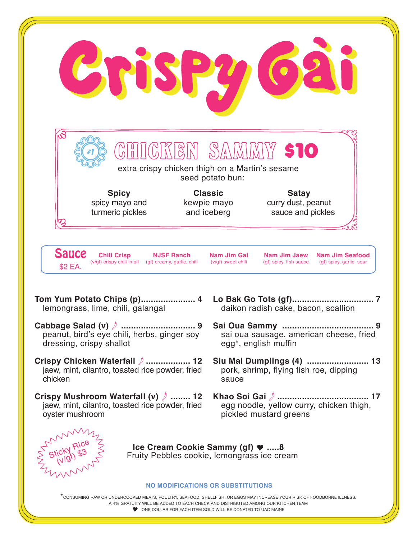

ONE DOLLAR FOR FACH ITEM SOLD WILL BE DONATED TO HAC MAINE